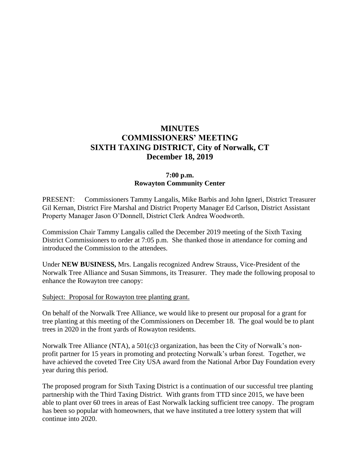# **MINUTES COMMISSIONERS' MEETING SIXTH TAXING DISTRICT, City of Norwalk, CT December 18, 2019**

## **7:00 p.m. Rowayton Community Center**

PRESENT: Commissioners Tammy Langalis, Mike Barbis and John Igneri, District Treasurer Gil Kernan, District Fire Marshal and District Property Manager Ed Carlson, District Assistant Property Manager Jason O'Donnell, District Clerk Andrea Woodworth.

Commission Chair Tammy Langalis called the December 2019 meeting of the Sixth Taxing District Commissioners to order at 7:05 p.m. She thanked those in attendance for coming and introduced the Commission to the attendees.

Under **NEW BUSINESS,** Mrs. Langalis recognized Andrew Strauss, Vice-President of the Norwalk Tree Alliance and Susan Simmons, its Treasurer. They made the following proposal to enhance the Rowayton tree canopy:

#### Subject: Proposal for Rowayton tree planting grant.

On behalf of the Norwalk Tree Alliance, we would like to present our proposal for a grant for tree planting at this meeting of the Commissioners on December 18. The goal would be to plant trees in 2020 in the front yards of Rowayton residents.

Norwalk Tree Alliance (NTA), a 501(c)3 organization, has been the City of Norwalk's nonprofit partner for 15 years in promoting and protecting Norwalk's urban forest. Together, we have achieved the coveted Tree City USA award from the National Arbor Day Foundation every year during this period.

The proposed program for Sixth Taxing District is a continuation of our successful tree planting partnership with the Third Taxing District. With grants from TTD since 2015, we have been able to plant over 60 trees in areas of East Norwalk lacking sufficient tree canopy. The program has been so popular with homeowners, that we have instituted a tree lottery system that will continue into 2020.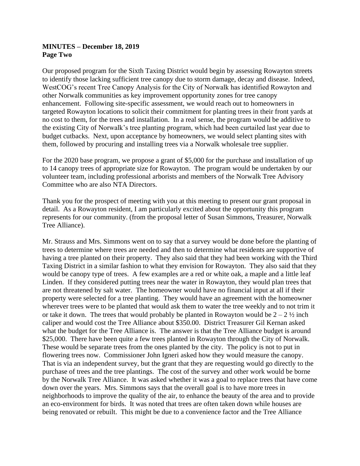### **MINUTES – December 18, 2019 Page Two**

Our proposed program for the Sixth Taxing District would begin by assessing Rowayton streets to identify those lacking sufficient tree canopy due to storm damage, decay and disease. Indeed, WestCOG's recent Tree Canopy Analysis for the City of Norwalk has identified Rowayton and other Norwalk communities as key improvement opportunity zones for tree canopy enhancement. Following site-specific assessment, we would reach out to homeowners in targeted Rowayton locations to solicit their commitment for planting trees in their front yards at no cost to them, for the trees and installation. In a real sense, the program would be additive to the existing City of Norwalk's tree planting program, which had been curtailed last year due to budget cutbacks. Next, upon acceptance by homeowners, we would select planting sites with them, followed by procuring and installing trees via a Norwalk wholesale tree supplier.

For the 2020 base program, we propose a grant of \$5,000 for the purchase and installation of up to 14 canopy trees of appropriate size for Rowayton. The program would be undertaken by our volunteer team, including professional arborists and members of the Norwalk Tree Advisory Committee who are also NTA Directors.

Thank you for the prospect of meeting with you at this meeting to present our grant proposal in detail. As a Rowayton resident, I am particularly excited about the opportunity this program represents for our community. (from the proposal letter of Susan Simmons, Treasurer, Norwalk Tree Alliance).

Mr. Strauss and Mrs. Simmons went on to say that a survey would be done before the planting of trees to determine where trees are needed and then to determine what residents are supportive of having a tree planted on their property. They also said that they had been working with the Third Taxing District in a similar fashion to what they envision for Rowayton. They also said that they would be canopy type of trees. A few examples are a red or white oak, a maple and a little leaf Linden. If they considered putting trees near the water in Rowayton, they would plan trees that are not threatened by salt water. The homeowner would have no financial input at all if their property were selected for a tree planting. They would have an agreement with the homeowner wherever trees were to be planted that would ask them to water the tree weekly and to not trim it or take it down. The trees that would probably be planted in Rowayton would be  $2 - 2 \frac{1}{2}$  inch caliper and would cost the Tree Alliance about \$350.00. District Treasurer Gil Kernan asked what the budget for the Tree Alliance is. The answer is that the Tree Alliance budget is around \$25,000. There have been quite a few trees planted in Rowayton through the City of Norwalk. These would be separate trees from the ones planted by the city. The policy is not to put in flowering trees now. Commissioner John Igneri asked how they would measure the canopy. That is via an independent survey, but the grant that they are requesting would go directly to the purchase of trees and the tree plantings. The cost of the survey and other work would be borne by the Norwalk Tree Alliance. It was asked whether it was a goal to replace trees that have come down over the years. Mrs. Simmons says that the overall goal is to have more trees in neighborhoods to improve the quality of the air, to enhance the beauty of the area and to provide an eco-environment for birds. It was noted that trees are often taken down while houses are being renovated or rebuilt. This might be due to a convenience factor and the Tree Alliance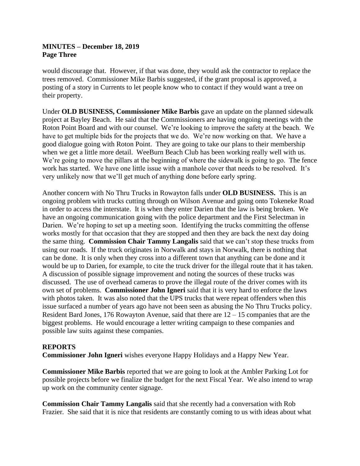### **MINUTES – December 18, 2019 Page Three**

would discourage that. However, if that was done, they would ask the contractor to replace the trees removed. Commissioner Mike Barbis suggested, if the grant proposal is approved, a posting of a story in Currents to let people know who to contact if they would want a tree on their property.

Under **OLD BUSINESS, Commissioner Mike Barbis** gave an update on the planned sidewalk project at Bayley Beach. He said that the Commissioners are having ongoing meetings with the Roton Point Board and with our counsel. We're looking to improve the safety at the beach. We have to get multiple bids for the projects that we do. We're now working on that. We have a good dialogue going with Roton Point. They are going to take our plans to their membership when we get a little more detail. WeeBurn Beach Club has been working really well with us. We're going to move the pillars at the beginning of where the sidewalk is going to go. The fence work has started. We have one little issue with a manhole cover that needs to be resolved. It's very unlikely now that we'll get much of anything done before early spring.

Another concern with No Thru Trucks in Rowayton falls under **OLD BUSINESS.** This is an ongoing problem with trucks cutting through on Wilson Avenue and going onto Tokeneke Road in order to access the interstate. It is when they enter Darien that the law is being broken. We have an ongoing communication going with the police department and the First Selectman in Darien. We're hoping to set up a meeting soon. Identifying the trucks committing the offense works mostly for that occasion that they are stopped and then they are back the next day doing the same thing. **Commission Chair Tammy Langalis** said that we can't stop these trucks from using our roads. If the truck originates in Norwalk and stays in Norwalk, there is nothing that can be done. It is only when they cross into a different town that anything can be done and it would be up to Darien, for example, to cite the truck driver for the illegal route that it has taken. A discussion of possible signage improvement and noting the sources of these trucks was discussed. The use of overhead cameras to prove the illegal route of the driver comes with its own set of problems. **Commissioner John Igneri** said that it is very hard to enforce the laws with photos taken. It was also noted that the UPS trucks that were repeat offenders when this issue surfaced a number of years ago have not been seen as abusing the No Thru Trucks policy. Resident Bard Jones, 176 Rowayton Avenue, said that there are 12 – 15 companies that are the biggest problems. He would encourage a letter writing campaign to these companies and possible law suits against these companies.

#### **REPORTS**

**Commissioner John Igneri** wishes everyone Happy Holidays and a Happy New Year.

**Commissioner Mike Barbis** reported that we are going to look at the Ambler Parking Lot for possible projects before we finalize the budget for the next Fiscal Year. We also intend to wrap up work on the community center signage.

**Commission Chair Tammy Langalis** said that she recently had a conversation with Rob Frazier. She said that it is nice that residents are constantly coming to us with ideas about what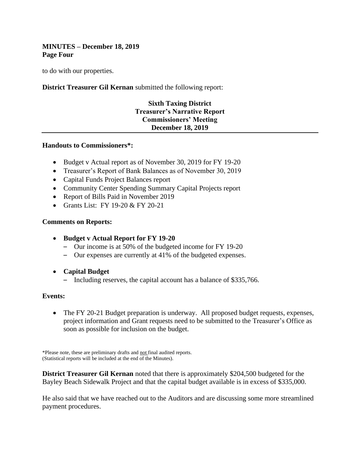### **MINUTES – December 18, 2019 Page Four**

to do with our properties.

### **District Treasurer Gil Kernan** submitted the following report:

# **Sixth Taxing District Treasurer's Narrative Report Commissioners' Meeting December 18, 2019**

#### **Handouts to Commissioners\*:**

- Budget v Actual report as of November 30, 2019 for FY 19-20
- Treasurer's Report of Bank Balances as of November 30, 2019
- Capital Funds Project Balances report
- Community Center Spending Summary Capital Projects report
- Report of Bills Paid in November 2019
- Grants List: FY 19-20 & FY 20-21

#### **Comments on Reports:**

- **Budget v Actual Report for FY 19-20**
	- Our income is at 50% of the budgeted income for FY 19-20
	- Our expenses are currently at 41% of the budgeted expenses.
- **Capital Budget**
	- Including reserves, the capital account has a balance of \$335,766.

#### **Events:**

• The FY 20-21 Budget preparation is underway. All proposed budget requests, expenses, project information and Grant requests need to be submitted to the Treasurer's Office as soon as possible for inclusion on the budget.

\*Please note, these are preliminary drafts and not final audited reports. (Statistical reports will be included at the end of the Minutes).

**District Treasurer Gil Kernan** noted that there is approximately \$204,500 budgeted for the Bayley Beach Sidewalk Project and that the capital budget available is in excess of \$335,000.

He also said that we have reached out to the Auditors and are discussing some more streamlined payment procedures.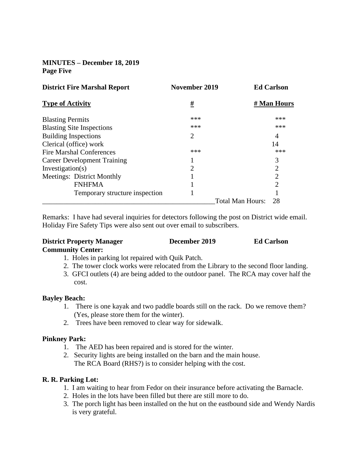# **MINUTES – December 18, 2019 Page Five**

| <b>District Fire Marshal Report</b> | November 2019  | <b>Ed Carlson</b>      |
|-------------------------------------|----------------|------------------------|
| <b>Type of Activity</b>             | #              | # Man Hours            |
| <b>Blasting Permits</b>             | ***            | ***                    |
| <b>Blasting Site Inspections</b>    | ***            | ***                    |
| <b>Building Inspections</b>         | 2              | 4                      |
| Clerical (office) work              |                | 14                     |
| Fire Marshal Conferences            | ***            | ***                    |
| <b>Career Development Training</b>  |                | 3                      |
| Investigation(s)                    | $\overline{2}$ | 2                      |
| Meetings: District Monthly          |                | $\overline{2}$         |
| <b>FNHFMA</b>                       |                | $\overline{c}$         |
| Temporary structure inspection      |                |                        |
|                                     |                | Total Man Hours:<br>28 |

Remarks: I have had several inquiries for detectors following the post on District wide email. Holiday Fire Safety Tips were also sent out over email to subscribers.

#### **District Property Manager December 2019 Ed Carlson Community Center:**

- 1. Holes in parking lot repaired with Quik Patch.
- 2. The tower clock works were relocated from the Library to the second floor landing.
- 3. GFCI outlets (4) are being added to the outdoor panel. The RCA may cover half the cost.

#### **Bayley Beach:**

- 1. There is one kayak and two paddle boards still on the rack. Do we remove them? (Yes, please store them for the winter).
- 2. Trees have been removed to clear way for sidewalk.

#### **Pinkney Park:**

- 1. The AED has been repaired and is stored for the winter.
- 2. Security lights are being installed on the barn and the main house. The RCA Board (RHS?) is to consider helping with the cost.

## **R. R. Parking Lot:**

- 1. I am waiting to hear from Fedor on their insurance before activating the Barnacle.
- 2. Holes in the lots have been filled but there are still more to do.
- 3. The porch light has been installed on the hut on the eastbound side and Wendy Nardis is very grateful.